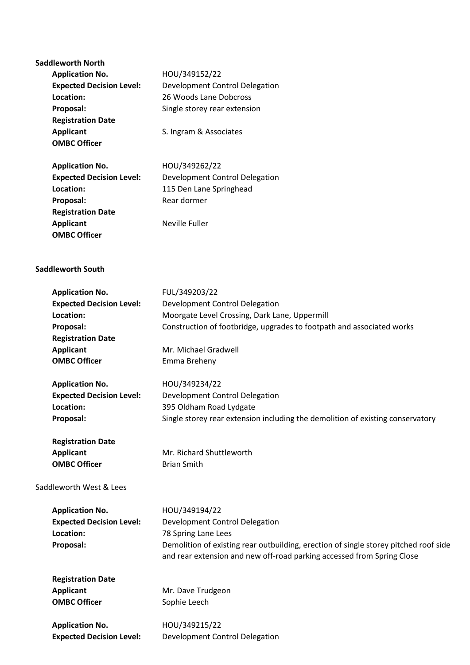| <b>Saddleworth North</b>        |                                                                                      |
|---------------------------------|--------------------------------------------------------------------------------------|
| <b>Application No.</b>          | HOU/349152/22                                                                        |
| <b>Expected Decision Level:</b> | <b>Development Control Delegation</b>                                                |
| Location:                       | 26 Woods Lane Dobcross                                                               |
| Proposal:                       | Single storey rear extension                                                         |
| <b>Registration Date</b>        |                                                                                      |
| <b>Applicant</b>                | S. Ingram & Associates                                                               |
| <b>OMBC Officer</b>             |                                                                                      |
|                                 |                                                                                      |
| <b>Application No.</b>          | HOU/349262/22                                                                        |
| <b>Expected Decision Level:</b> | Development Control Delegation                                                       |
| Location:                       | 115 Den Lane Springhead                                                              |
| Proposal:                       | Rear dormer                                                                          |
| <b>Registration Date</b>        |                                                                                      |
| <b>Applicant</b>                | <b>Neville Fuller</b>                                                                |
| <b>OMBC Officer</b>             |                                                                                      |
|                                 |                                                                                      |
|                                 |                                                                                      |
| <b>Saddleworth South</b>        |                                                                                      |
|                                 |                                                                                      |
| <b>Application No.</b>          | FUL/349203/22                                                                        |
| <b>Expected Decision Level:</b> | Development Control Delegation                                                       |
| Location:                       | Moorgate Level Crossing, Dark Lane, Uppermill                                        |
| Proposal:                       | Construction of footbridge, upgrades to footpath and associated works                |
| <b>Registration Date</b>        |                                                                                      |
| <b>Applicant</b>                | Mr. Michael Gradwell                                                                 |
| <b>OMBC Officer</b>             | Emma Breheny                                                                         |
|                                 |                                                                                      |
| <b>Application No.</b>          | HOU/349234/22                                                                        |
| <b>Expected Decision Level:</b> | Development Control Delegation                                                       |
| Location:                       | 395 Oldham Road Lydgate                                                              |
| Proposal:                       | Single storey rear extension including the demolition of existing conservatory       |
|                                 |                                                                                      |
| <b>Registration Date</b>        |                                                                                      |
| <b>Applicant</b>                | Mr. Richard Shuttleworth                                                             |
| <b>OMBC Officer</b>             | <b>Brian Smith</b>                                                                   |
|                                 |                                                                                      |
| Saddleworth West & Lees         |                                                                                      |
|                                 |                                                                                      |
| <b>Application No.</b>          | HOU/349194/22                                                                        |
| <b>Expected Decision Level:</b> | Development Control Delegation                                                       |
| Location:                       | 78 Spring Lane Lees                                                                  |
| Proposal:                       | Demolition of existing rear outbuilding, erection of single storey pitched roof side |
|                                 | and rear extension and new off-road parking accessed from Spring Close               |
|                                 |                                                                                      |
| <b>Registration Date</b>        |                                                                                      |
| <b>Applicant</b>                | Mr. Dave Trudgeon                                                                    |
| <b>OMBC Officer</b>             | Sophie Leech                                                                         |
|                                 |                                                                                      |
| <b>Application No.</b>          | HOU/349215/22                                                                        |
| <b>Expected Decision Level:</b> | Development Control Delegation                                                       |
|                                 |                                                                                      |